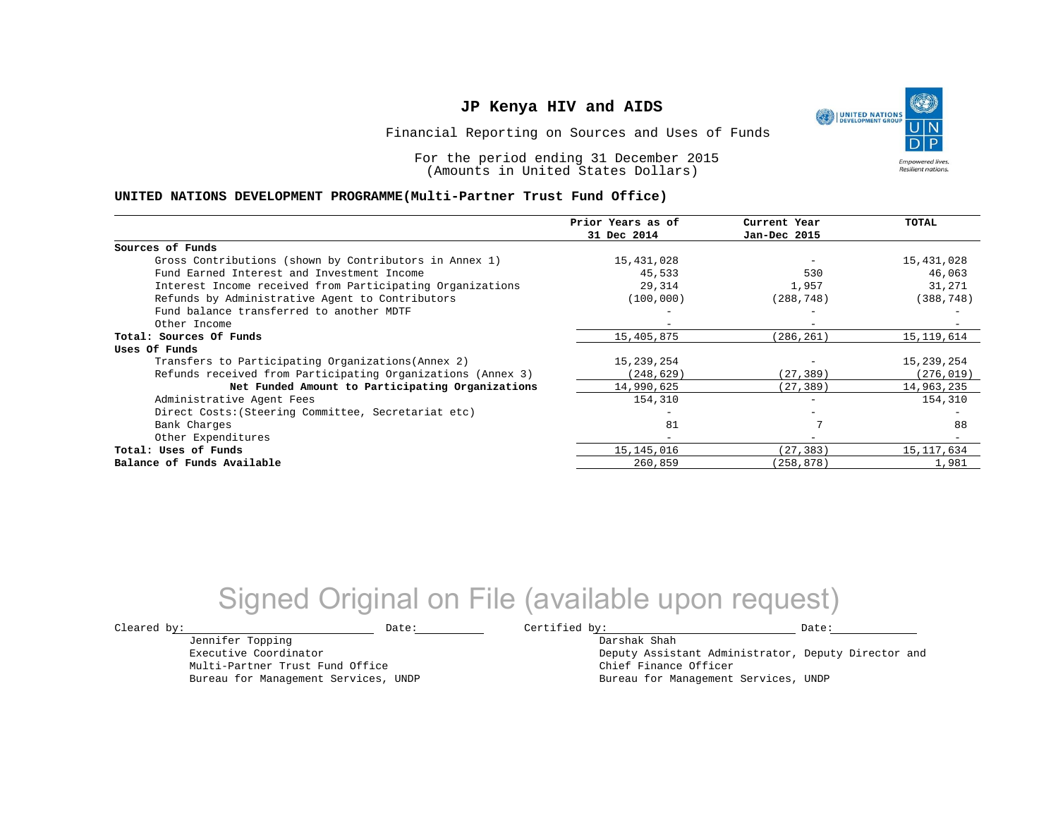Financial Reporting on Sources and Uses of Funds

For the period ending 31 December 2015 (Amounts in United States Dollars)

#### **UNITED NATIONS DEVELOPMENT PROGRAMME(Multi-Partner Trust Fund Office)**

|                                                             | Prior Years as of<br>31 Dec 2014 | Current Year<br>Jan-Dec 2015 | <b>TOTAL</b> |
|-------------------------------------------------------------|----------------------------------|------------------------------|--------------|
|                                                             |                                  |                              |              |
| Sources of Funds                                            |                                  |                              |              |
| Gross Contributions (shown by Contributors in Annex 1)      | 15,431,028                       |                              | 15,431,028   |
| Fund Earned Interest and Investment Income                  | 45,533                           | 530                          | 46,063       |
| Interest Income received from Participating Organizations   | 29,314                           | 1,957                        | 31,271       |
| Refunds by Administrative Agent to Contributors             | (100, 000)                       | (288, 748)                   | (388, 748)   |
| Fund balance transferred to another MDTF                    |                                  |                              |              |
| Other Income                                                |                                  | $\overline{\phantom{0}}$     |              |
| Total: Sources Of Funds                                     | 15,405,875                       | (286,261)                    | 15, 119, 614 |
| Uses Of Funds                                               |                                  |                              |              |
| Transfers to Participating Organizations (Annex 2)          | 15,239,254                       |                              | 15,239,254   |
| Refunds received from Participating Organizations (Annex 3) | (248,629)                        | (27, 389)                    | (276, 019)   |
| Net Funded Amount to Participating Organizations            | 14,990,625                       | (27,389)                     | 14,963,235   |
| Administrative Agent Fees                                   | 154,310                          |                              | 154,310      |
| Direct Costs: (Steering Committee, Secretariat etc)         |                                  |                              |              |
| Bank Charges                                                | 81                               |                              | 88           |
| Other Expenditures                                          | $\overline{\phantom{0}}$         | $\overline{\phantom{m}}$     |              |
| Total: Uses of Funds                                        | 15, 145, 016                     | (27, 383)                    | 15, 117, 634 |
| Balance of Funds Available                                  | 260,859                          | (258, 878)                   | 1,981        |

## Signed Original on File (available upon request)

Jennifer Topping Executive Coordinator Multi-Partner Trust Fund Office Bureau for Management Services, UNDP

 $\texttt{Cleared by:}\footnotesize \begin{minipage}{14pt} \begin{tabular}{p{0.87\textwidth}p{0.87\textwidth}} \centering \end{tabular} \end{minipage}$ 

Darshak Shah Deputy Assistant Administrator, Deputy Director and Chief Finance Officer Bureau for Management Services, UNDP

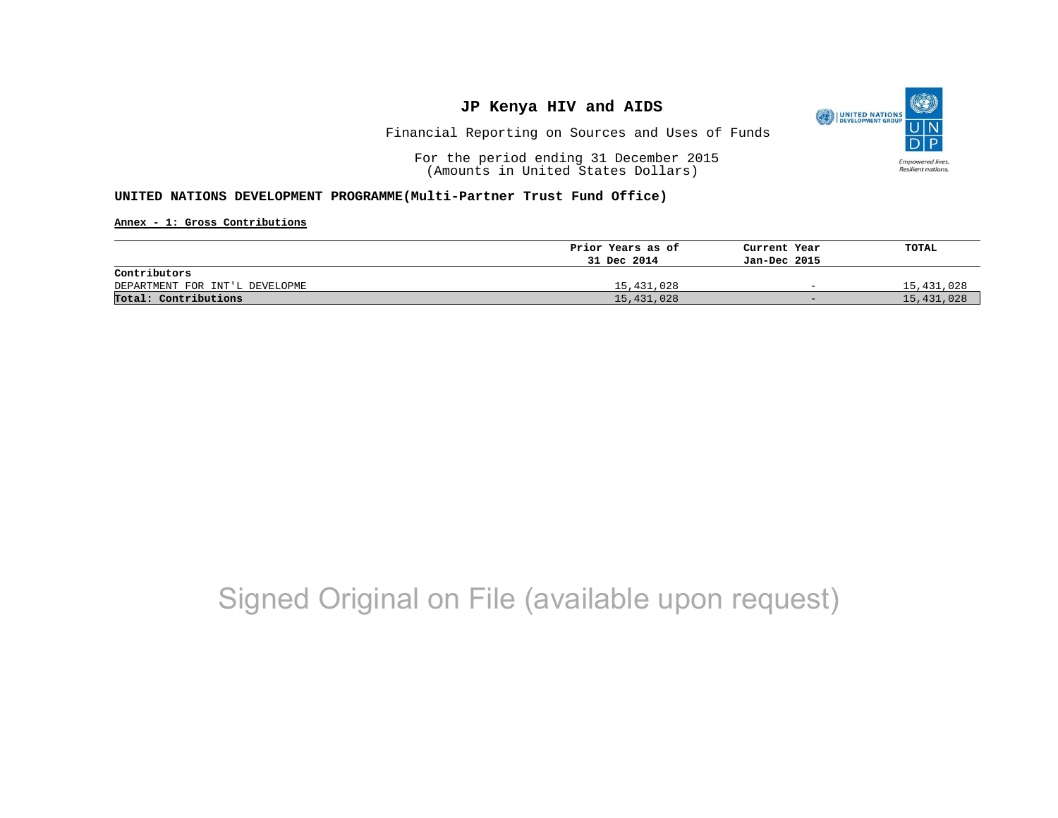

Financial Reporting on Sources and Uses of Funds

For the period ending 31 December 2015 (Amounts in United States Dollars)

#### **UNITED NATIONS DEVELOPMENT PROGRAMME(Multi-Partner Trust Fund Office)**

**Annex - 1: Gross Contributions**

|                                | Prior Years as of | Current Year             | TOTAL      |
|--------------------------------|-------------------|--------------------------|------------|
|                                | 31 Dec 2014       | Jan-Dec 2015             |            |
| Contributors                   |                   |                          |            |
| DEPARTMENT FOR INT'L DEVELOPME | 15,431,028        | $\overline{\phantom{0}}$ | 15,431,028 |
| Total: Contributions           | 15,431,028        | $-$                      | 15,431,028 |

# Signed Original on File (available upon request)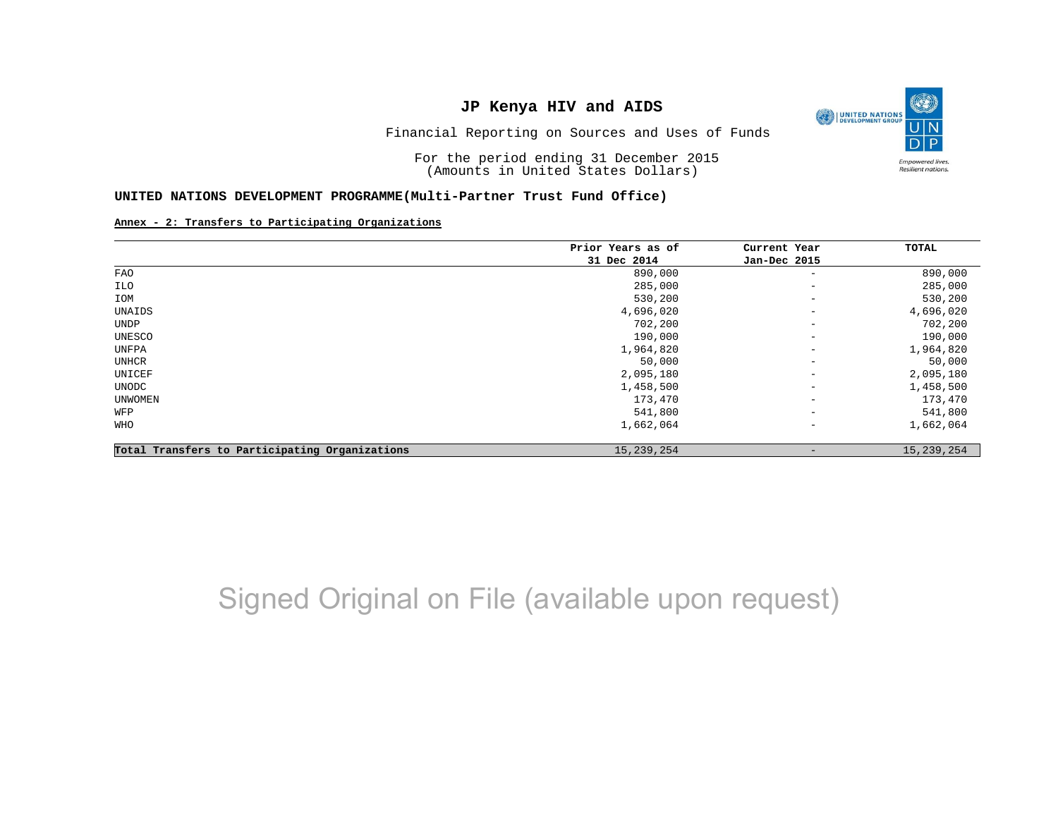O UNITED NATIONS **Empowered lives** Resilient nations.

Financial Reporting on Sources and Uses of Funds

For the period ending 31 December 2015 (Amounts in United States Dollars)

#### **UNITED NATIONS DEVELOPMENT PROGRAMME(Multi-Partner Trust Fund Office)**

#### **Annex - 2: Transfers to Participating Organizations**

|                                                | Prior Years as of | Current Year             | TOTAL      |
|------------------------------------------------|-------------------|--------------------------|------------|
|                                                | 31 Dec 2014       | Jan-Dec 2015             |            |
| FAO                                            | 890,000           | $\overline{\phantom{m}}$ | 890,000    |
| ILO                                            | 285,000           | $\overline{\phantom{a}}$ | 285,000    |
| IOM                                            | 530,200           | $\overline{\phantom{a}}$ | 530,200    |
| UNAIDS                                         | 4,696,020         | $\qquad \qquad -$        | 4,696,020  |
| UNDP                                           | 702,200           | $\qquad \qquad -$        | 702,200    |
| UNESCO                                         | 190,000           | $\qquad \qquad -$        | 190,000    |
| UNFPA                                          | 1,964,820         | $\overline{\phantom{a}}$ | 1,964,820  |
| UNHCR                                          | 50,000            | $\overline{\phantom{a}}$ | 50,000     |
| UNICEF                                         | 2,095,180         | $\qquad \qquad -$        | 2,095,180  |
| UNODC                                          | 1,458,500         | $\qquad \qquad -$        | 1,458,500  |
| UNWOMEN                                        | 173,470           | $\overline{\phantom{a}}$ | 173,470    |
| WFP                                            | 541,800           | $\overline{\phantom{a}}$ | 541,800    |
| WHO                                            | 1,662,064         | $\overline{\phantom{m}}$ | 1,662,064  |
| Total Transfers to Participating Organizations | 15, 239, 254      | $\qquad \qquad$          | 15,239,254 |

## Signed Original on File (available upon request)